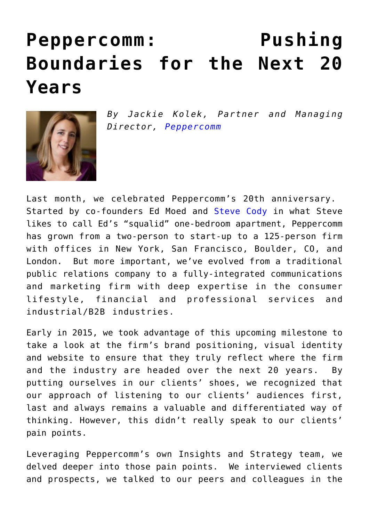## **[Peppercomm: Pushing](https://www.commpro.biz/peppercomm-pushing-boundaries-for-the-next-20-years/) [Boundaries for the Next 20](https://www.commpro.biz/peppercomm-pushing-boundaries-for-the-next-20-years/) [Years](https://www.commpro.biz/peppercomm-pushing-boundaries-for-the-next-20-years/)**



*By Jackie Kolek, Partner and Managing Director, [Peppercomm](https://peppercomm.com/about/bio/jacqueline-kolek)*

Last month, we celebrated Peppercomm's 20th anniversary. Started by co-founders Ed Moed and [Steve Cody](https://www.commpro.biz/?s=steve+cody) in what Steve likes to call Ed's "squalid" one-bedroom apartment, Peppercomm has grown from a two-person to start-up to a 125-person firm with offices in New York, San Francisco, Boulder, CO, and London. But more important, we've evolved from a traditional public relations company to a fully-integrated communications and marketing firm with deep expertise in the consumer lifestyle, financial and professional services and industrial/B2B industries.

Early in 2015, we took advantage of this upcoming milestone to take a look at the firm's brand positioning, visual identity and website to ensure that they truly reflect where the firm and the industry are headed over the next 20 years. By putting ourselves in our clients' shoes, we recognized that our approach of listening to our clients' audiences first, last and always remains a valuable and differentiated way of thinking. However, this didn't really speak to our clients' pain points.

Leveraging Peppercomm's own Insights and Strategy team, we delved deeper into those pain points. We interviewed clients and prospects, we talked to our peers and colleagues in the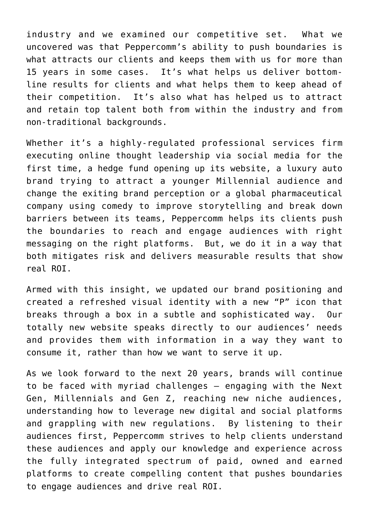industry and we examined our competitive set. What we uncovered was that Peppercomm's ability to push boundaries is what attracts our clients and keeps them with us for more than 15 years in some cases. It's what helps us deliver bottomline results for clients and what helps them to keep ahead of their competition. It's also what has helped us to attract and retain top talent both from within the industry and from non-traditional backgrounds.

Whether it's a highly-regulated professional services firm executing online thought leadership via social media for the first time, a hedge fund opening up its website, a luxury auto brand trying to attract a younger Millennial audience and change the exiting brand perception or a global pharmaceutical company using comedy to improve storytelling and break down barriers between its teams, Peppercomm helps its clients push the boundaries to reach and engage audiences with right messaging on the right platforms. But, we do it in a way that both mitigates risk and delivers measurable results that show real ROI.

Armed with this insight, we updated our brand positioning and created a refreshed visual identity with a new "P" icon that breaks through a box in a subtle and sophisticated way. Our totally new website speaks directly to our audiences' needs and provides them with information in a way they want to consume it, rather than how we want to serve it up.

As we look forward to the next 20 years, brands will continue to be faced with myriad challenges – engaging with the Next Gen, Millennials and Gen Z, reaching new niche audiences, understanding how to leverage new digital and social platforms and grappling with new regulations. By listening to their audiences first, Peppercomm strives to help clients understand these audiences and apply our knowledge and experience across the fully integrated spectrum of paid, owned and earned platforms to create compelling content that pushes boundaries to engage audiences and drive real ROI.